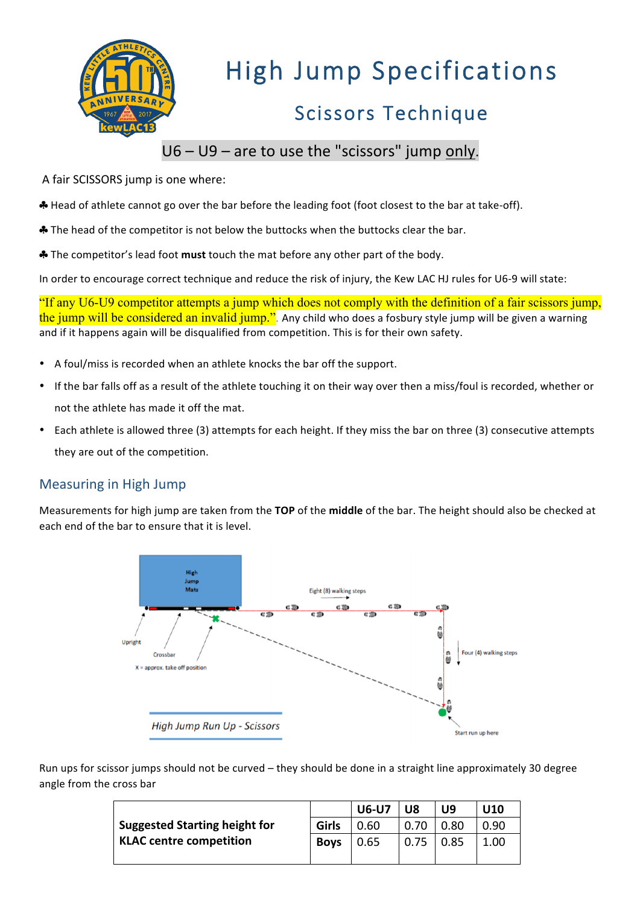

## High Jump Specifications

## Scissors Technique

#### $U6 - U9$  – are to use the "scissors" jump only.

A fair SCISSORS jump is one where:

\* Head of athlete cannot go over the bar before the leading foot (foot closest to the bar at take-off).

\* The head of the competitor is not below the buttocks when the buttocks clear the bar.

**♣** The competitor's lead foot must touch the mat before any other part of the body.

In order to encourage correct technique and reduce the risk of injury, the Kew LAC HJ rules for U6-9 will state:

"If any U6-U9 competitor attempts a jump which does not comply with the definition of a fair scissors jump, the jump will be considered an invalid jump.". Any child who does a fosbury style jump will be given a warning and if it happens again will be disqualified from competition. This is for their own safety.

- A foul/miss is recorded when an athlete knocks the bar off the support.
- If the bar falls off as a result of the athlete touching it on their way over then a miss/foul is recorded, whether or not the athlete has made it off the mat.
- Each athlete is allowed three (3) attempts for each height. If they miss the bar on three (3) consecutive attempts they are out of the competition.

#### Measuring in High Jump

Measurements for high jump are taken from the TOP of the middle of the bar. The height should also be checked at each end of the bar to ensure that it is level.



Run ups for scissor jumps should not be curved – they should be done in a straight line approximately 30 degree angle from the cross bar

|                                      |             | <b>U6-U7</b> | U8   | U9   | U10  |
|--------------------------------------|-------------|--------------|------|------|------|
| <b>Suggested Starting height for</b> | Girls       | 0.60         | 0.70 | 0.80 | 0.90 |
| <b>KLAC centre competition</b>       | <b>Boys</b> | 0.65         | 0.75 | 0.85 | 1.00 |
|                                      |             |              |      |      |      |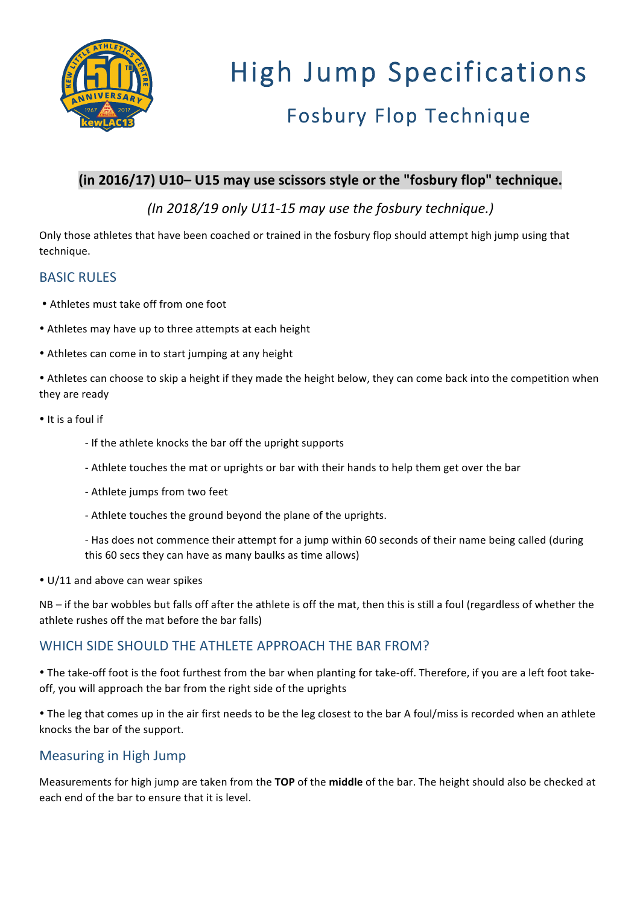

# High Jump Specifications Fosbury Flop Technique

#### (in 2016/17) U10- U15 may use scissors style or the "fosbury flop" technique.

*(In 2018/19 only U11-15 may use the fosbury technique.)*

Only those athletes that have been coached or trained in the fosbury flop should attempt high jump using that technique. 

#### **BASIC RULES**

- Athletes must take off from one foot
- Athletes may have up to three attempts at each height
- Athletes can come in to start jumping at any height

• Athletes can choose to skip a height if they made the height below, they can come back into the competition when they are ready

- It is a foul if
	- If the athlete knocks the bar off the upright supports
	- Athlete touches the mat or uprights or bar with their hands to help them get over the bar
	- Athlete jumps from two feet
	- Athlete touches the ground beyond the plane of the uprights.

- Has does not commence their attempt for a jump within 60 seconds of their name being called (during this 60 secs they can have as many baulks as time allows)

 $\cdot$  U/11 and above can wear spikes

NB – if the bar wobbles but falls off after the athlete is off the mat, then this is still a foul (regardless of whether the athlete rushes off the mat before the bar falls)

#### WHICH SIDE SHOULD THE ATHLETE APPROACH THE BAR FROM?

• The take-off foot is the foot furthest from the bar when planting for take-off. Therefore, if you are a left foot takeoff, you will approach the bar from the right side of the uprights

• The leg that comes up in the air first needs to be the leg closest to the bar A foul/miss is recorded when an athlete knocks the bar of the support.

#### Measuring in High Jump

Measurements for high jump are taken from the TOP of the middle of the bar. The height should also be checked at each end of the bar to ensure that it is level.